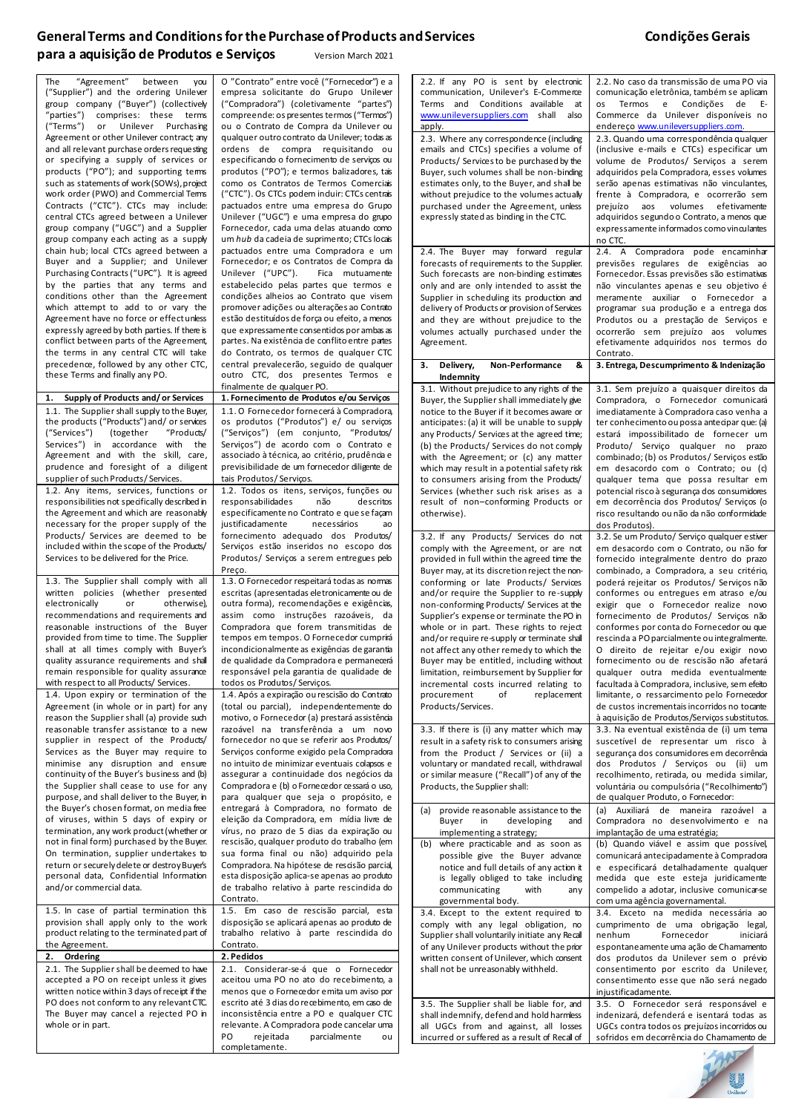## General Terms and Conditions for the Purchase of Products and Services **Condições Gerais Condições** Gerais **para a aquisição de Produtos e Serviços** Version March 2021

| "Agreement" between<br>you<br>The              | O "Contrato" entre você ("Fornecedor") e a              | 2.2. If any PO is sent by electronic           | 2.2. No caso da transmissão de uma PO via     |
|------------------------------------------------|---------------------------------------------------------|------------------------------------------------|-----------------------------------------------|
| ("Supplier") and the ordering Unilever         | empresa solicitante do Grupo Unilever                   | communication, Unilever's E-Commerce           | comunicação eletrônica, também se aplicam     |
| group company ("Buyer") (collectively          | ("Compradora") (coletivamente "partes")                 | Terms and Conditions available at              | os Termos e Condições de E-                   |
| "parties")<br>comprises: these terms           | compreende: os presentes termos ("Termos")              | www.unileversuppliers.com shall also           | Commerce da Unilever disponíveis no           |
|                                                |                                                         |                                                |                                               |
| ("Terms")<br>or Unilever Purchasing            | ou o Contrato de Compra da Unilever ou                  | apply.                                         | endereço www.unileversuppliers.com.           |
| Agreement or other Unilever contract; any      | qualquer outro contrato da Unilever; todas as           | 2.3. Where any correspondence (including       | 2.3. Quando uma correspondência qualquer      |
| and all relevant purchase orders requesting    | ordens de compra requisitando ou                        | emails and CTCs) specifies a volume of         | (inclusive e-mails e CTCs) especificar um     |
| or specifying a supply of services or          | especificando o fornecimento de serviços ou             | Products/ Services to be purchased by the      | volume de Produtos/ Servicos a serem          |
| products ("PO"); and supporting tems           | produtos ("PO"); e termos balizadores, tais             | Buyer, such volumes shall be non-binding       | adquiridos pela Compradora, esses volumes     |
| such as statements of work (SOWs), project     | como os Contratos de Termos Comerciais                  | estimates only, to the Buyer, and shall be     | serão apenas estimativas não vinculantes,     |
| work order (PWO) and Commercial Tems           | ("CTC"). Os CTCs podem induir: CTCs centrais            | without prejudice to the volumes actually      | frente à Compradora, e ocorrerão sem          |
| Contracts ("CTC"). CTCs may include:           | pactuados entre uma empresa do Grupo                    | purchased under the Agreement, unless          | prejuízo aos volumes efetivamente             |
| central CTCs agreed between a Unilever         | Unilever ("UGC") e uma empresa do grupo                 | expressly stated as binding in the CTC.        | adquiridos segundo o Contrato, a menos que    |
| group company ("UGC") and a Supplier           | Fornecedor, cada uma delas atuando como                 |                                                | expressamente informados como vinculantes     |
| group company each acting as a supply          | um hub da cadeia de suprimento; CTCs locais             |                                                |                                               |
|                                                |                                                         |                                                | no CTC.                                       |
| chain hub; local CTCs agreed between a         | pactuados entre uma Compradora e um                     | 2.4. The Buyer may forward regular             | 2.4. A Compradora pode encaminhar             |
| Buyer and a Supplier; and Unilever             | Fornecedor; e os Contratos de Compra da                 | forecasts of requirements to the Supplier.     | previsões regulares de exigências ao          |
| Purchasing Contracts ("UPC"). It is agreed     | Unilever ("UPC").<br>Fica mutuamente                    | Such forecasts are non-binding estimates       | Fornecedor. Essas previsões são estimativas   |
| by the parties that any terms and              | estabelecido pelas partes que termos e                  | only and are only intended to assist the       | não vinculantes apenas e seu objetivo é       |
| conditions other than the Agreement            | condições alheios ao Contrato que visem                 | Supplier in scheduling its production and      | meramente auxiliar o Fornecedor a             |
| which attempt to add to or vary the            | promover adições ou alterações ao Contrato              | delivery of Products or provision of Services  | programar sua produção e a entrega dos        |
| Agreement have no force or effect unless       | estão destituídos de força ou efeito, a menos           | and they are without prejudice to the          | Produtos ou a prestação de Serviços e         |
| expressly agreed by both parties. If there is  | que expressamente consentidos por ambas as              | volumes actually purchased under the           | ocorrerão sem prejuízo aos volumes            |
| conflict between parts of the Agreement,       | partes. Na existência de conflito entre partes          | Agreement.                                     | efetivamente adquiridos nos termos do         |
|                                                | do Contrato, os termos de qualquer CTC                  |                                                |                                               |
| the terms in any central CTC will take         |                                                         |                                                | Contrato.                                     |
| precedence, followed by any other CTC,         | central prevalecerão, seguido de qualquer               | 3. Delivery,<br>Non-Performance<br>&           | 3. Entrega, Descumprimento & Indenização      |
| these Terms and finally any PO.                | outro CTC, dos presentes Termos e                       | Indemnity                                      |                                               |
|                                                | finalmente de qualquer PO.                              | 3.1. Without prejudice to any rights of the    | 3.1. Sem prejuízo a quaisquer direitos da     |
| Supply of Products and/or Services<br>1.       | 1. Fornecimento de Produtos e/ou Serviços               | Buyer, the Supplier shall immediately give     | Compradora, o Fornecedor comunicará           |
| 1.1. The Supplier shall supply to the Buyer,   | 1.1. O Fornecedor fornecerá à Compradora,               | notice to the Buyer if it becomes aware or     | imediatamente à Compradora caso venha a       |
| the products ("Products") and/ or services     | os produtos ("Produtos") e/ ou serviços                 | anticipates: (a) it will be unable to supply   | ter conhecimento ou possa antecipar que: (a)  |
| ("Services")<br>(together)<br>"Products/       | ("Serviços") (em conjunto, "Produtos/                   | any Products/ Services at the agreed time;     | estará impossibilitado de fornecer um         |
| Services") in accordance with the              | Serviços") de acordo com o Contrato e                   |                                                |                                               |
| Agreement and with the skill, care,            | associado à técnica, ao critério, prudência e           | (b) the Products/ Services do not comply       | Produto/ Serviço qualquer no prazo            |
|                                                |                                                         | with the Agreement; or (c) any matter          | combinado; (b) os Produtos/ Serviços estão    |
| prudence and foresight of a diligent           | previsibilidade de um fornecedor diligente de           | which may result in a potential safety risk    | em desacordo com o Contrato; ou (c)           |
| supplier of such Products/Services.            | tais Produtos/Servicos.                                 | to consumers arising from the Products/        | qualquer tema que possa resultar em           |
| 1.2. Any items, services, functions or         | 1.2. Todos os itens, serviços, funções ou               | Services (whether such risk arises as a        | potencial risco à segurança dos consumidores  |
| responsibilities not specifically described in | responsabilidades<br>não<br>descritos                   | result of non-conforming Products or           | em decorrência dos Produtos/ Serviços (o      |
| the Agreement and which are reasonably         | especificamente no Contrato e que se façam              | otherwise).                                    | risco resultando ou não da não conformidade   |
| necessary for the proper supply of the         | justificadamente<br>necessários<br>ao                   |                                                | dos Produtos).                                |
| Products/ Services are deemed to be            | fornecimento adequado dos Produtos/                     | 3.2. If any Products/ Services do not          | 3.2. Se um Produto/ Serviço qualquer estiver  |
| included within the scope of the Products/     | Serviços estão inseridos no escopo dos                  | comply with the Agreement, or are not          | em desacordo com o Contrato, ou não for       |
| Services to be delivered for the Price.        | Produtos/ Serviços a serem entregues pelo               | provided in full within the agreed time the    | fornecido integralmente dentro do prazo       |
|                                                |                                                         |                                                |                                               |
|                                                | Preço.                                                  | Buyer may, at its discretion reject the non-   | combinado, a Compradora, a seu critério,      |
| 1.3. The Supplier shall comply with all        | 1.3. O Fornecedor respeitará todas as nomas             | conforming or late Products/ Services          | poderá rejeitar os Produtos/Servicos não      |
| written policies (whether presented            | escritas (apresentadas eletronicamente ou de            | and/or require the Supplier to re-supply       | conformes ou entregues em atraso e/ou         |
| electronically<br>otherwise),<br>or            | outra forma), recomendações e exigências,               | non-conforming Products/ Services at the       | exigir que o Fornecedor realize novo          |
| recommendations and requirements and           | assim como instruções razoáveis, da                     | Supplier's expense or terminate the PO in      | fornecimento de Produtos/ Serviços não        |
| reasonable instructions of the Buyer           | Compradora que forem transmitidas de                    | whole or in part. These rights to reject       | conformes por conta do Fornecedor ou que      |
| provided from time to time. The Supplier       | tempos em tempos. O Fornecedor cumprirá                 | and/or require re-supply or terminate shall    | rescinda a PO parcialmente ou integralmente.  |
| shall at all times comply with Buyer's         | incondicionalmente as exigências de garantia            | not affect any other remedy to which the       | O direito de rejeitar e/ou exigir novo        |
| quality assurance requirements and shall       | de qualidade da Compradora e permanecerá                | Buyer may be entitled, including without       | fornecimento ou de rescisão não afetará       |
| remain responsible for quality assurance       | responsável pela garantia de qualidade de               | limitation, reimbursement by Supplier for      | qualquer outra medida eventualmente           |
| with respect to all Products/ Services.        | todos os Produtos/Serviços.                             | incremental costs incurred relating to         | facultada à Compradora, inclusive, sem efeito |
| 1.4. Upon expiry or termination of the         | 1.4. Após a expiração ou rescisão do Contrato           | procurement<br>of<br>replacement               | limitante, o ressarcimento pelo Fornecedor    |
| Agreement (in whole or in part) for any        | (total ou parcial), independentemente do                | Products/Services.                             | de custos incrementais incorridos no tocante  |
|                                                |                                                         |                                                |                                               |
| reason the Supplier shall (a) provide such     | motivo, o Fornecedor (a) prestará assistência           |                                                | à aquisição de Produtos/Serviços substitutos. |
| reasonable transfer assistance to a new        | razoável na transferência a um novo                     | 3.3. If there is (i) any matter which may      | 3.3. Na eventual existência de (i) um tema    |
| supplier in respect of the Products/           | fornecedor no que se referir aos Produtos/              | result in a safety risk to consumers arising   | suscetível de representar um risco à          |
| Services as the Buyer may require to           | Serviços conforme exigido pela Compradora               | from the Product / Services or (ii) a          | segurança dos consumidores em decorrência     |
| minimise any disruption and ensure             | no intuito de minimizar eventuais colapsos e            | voluntary or mandated recall, withdrawal       | dos Produtos / Serviços ou (ii) um            |
| continuity of the Buyer's business and (b)     | assegurar a continuidade dos negócios da                | or similar measure ("Recall") of any of the    | recolhimento, retirada, ou medida similar,    |
| the Supplier shall cease to use for any        | Compradora e (b) o Fornecedor cessará o uso,            | Products, the Supplier shall:                  | voluntária ou compulsória ("Recolhimento")    |
| purpose, and shall deliver to the Buyer, in    | para qualquer que seja o propósito, e                   |                                                | de qualquer Produto, o Fornecedor:            |
| the Buyer's chosen format, on media free       | entregará à Compradora, no formato de                   | provide reasonable assistance to the<br>(a)    | (a) Auxiliará de maneira razoável a           |
| of viruses, within 5 days of expiry or         | eleição da Compradora, em mídia livre de                | Buyer<br>in<br>developing<br>and               | Compradora no desenvolvimento e na            |
| termination, any work product (whether or      | vírus, no prazo de 5 dias da expiração ou               | implementing a strategy;                       | implantação de uma estratégia;                |
| not in final form) purchased by the Buyer.     | rescisão, qualquer produto do trabalho (em              | where practicable and as soon as<br>(b)        | (b) Quando viável e assim que possível,       |
| On termination, supplier undertakes to         | sua forma final ou não) adquirido pela                  | possible give the Buyer advance                | comunicará antecipadamente à Compradora       |
| return or securely delete or destroy Buyer's   | Compradora. Na hipótese de rescisão parcia,             |                                                |                                               |
| personal data, Confidential Information        |                                                         | notice and full details of any action it       | e especificará detalhadamente qualquer        |
| and/or commercial data.                        |                                                         | is legally obliged to take including           | medida que este esteja juridicamente          |
|                                                | esta disposição aplica-se apenas ao produto             |                                                |                                               |
|                                                | de trabalho relativo à parte rescindida do              | communicating<br>with<br>any                   | compelido a adotar, inclusive comunicar-se    |
|                                                | Contrato.                                               | governmental body.                             | com uma agência governamental.                |
| 1.5. In case of partial termination this       | 1.5. Em caso de rescisão parcial, esta                  | 3.4. Except to the extent required to          | 3.4. Exceto na medida necessária ao           |
| provision shall apply only to the work         | disposição se aplicará apenas ao produto de             | comply with any legal obligation, no           | cumprimento de uma obrigação legal,           |
| product relating to the terminated part of     | trabalho relativo à parte rescindida do                 | Supplier shall voluntarily initiate any Recall | nenhum<br>Fornecedor<br>iniciará              |
| the Agreement.                                 | Contrato.                                               | of any Unilever products without the prior     | espontaneamente uma ação de Chamamento        |
| 2. Ordering                                    | 2. Pedidos                                              |                                                |                                               |
|                                                |                                                         | written consent of Unilever, which consent     | dos produtos da Unilever sem o prévio         |
| 2.1. The Supplier shall be deemed to have      | 2.1. Considerar-se-á que o Fornecedor                   | shall not be unreasonably withheld.            | consentimento por escrito da Unilever,        |
| accepted a PO on receipt unless it gives       | aceitou uma PO no ato do recebimento, a                 |                                                | consentimento esse que não será negado        |
| written notice within 3 days of receipt if the | menos que o Fornecedor emita um aviso por               |                                                | injustificadamente.                           |
| PO does not conform to any relevant CTC.       | escrito até 3 dias do recebimento, em caso de           | 3.5. The Supplier shall be liable for, and     | 3.5. O Fornecedor será responsável e          |
| The Buyer may cancel a rejected PO in          | inconsistência entre a PO e qualquer CTC                | shall indemnify, defend and hold harmless      | indenizará, defenderá e isentará todas as     |
| whole or in part.                              | relevante. A Compradora pode cancelar uma               | all UGCs from and against, all losses          | UGCs contra todos os prejuízos incorridos ou  |
|                                                | rejeitada<br>parcialmente<br>PO<br>ou<br>completamente. | incurred or suffered as a result of Recal of   | sofridos em decorrência do Chamamento de      |

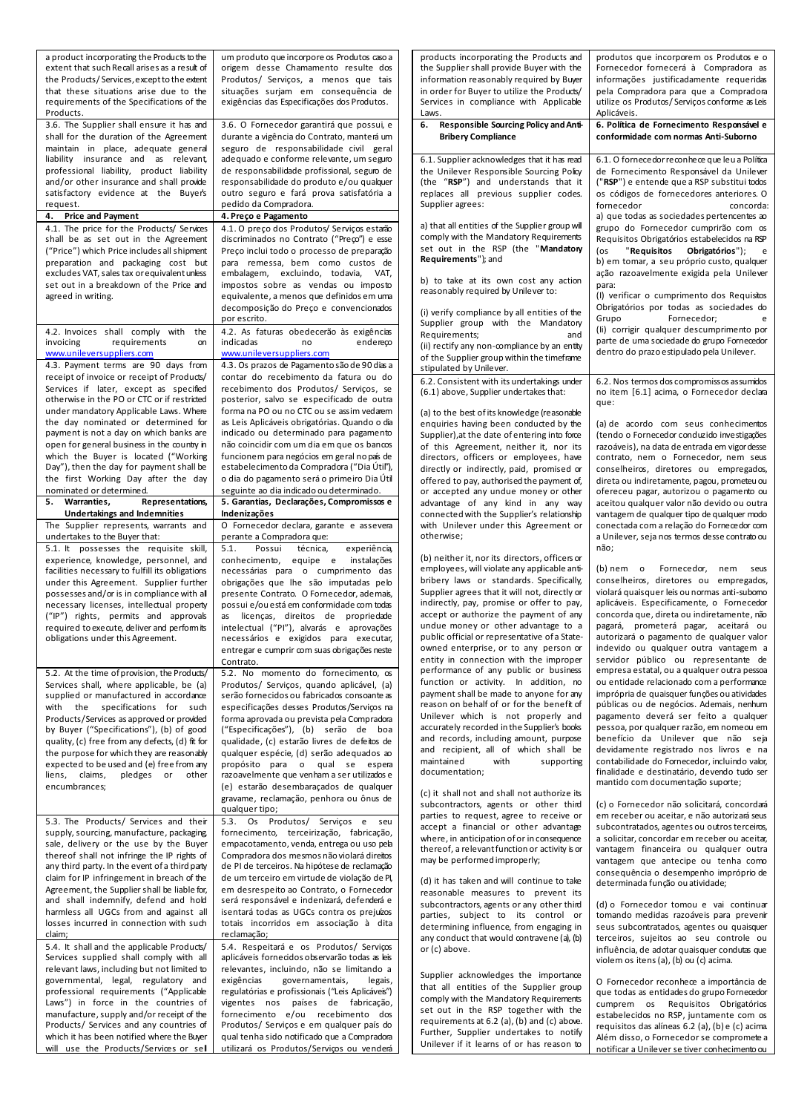| a product incorporating the Products to the<br>extent that such Recall arises as a result of<br>the Products/Services, except to the extent<br>that these situations arise due to the<br>requirements of the Specifications of the                                                                                                                                                                                                                                     | um produto que incorpore os Produtos caso a<br>origem desse Chamamento resulte dos<br>Produtos/ Serviços, a menos que tais<br>situações surjam em consequência de<br>exigências das Especificações dos Produtos.                                                                                                                                                                                                                                                                                                                       | products incorporating the Products and<br>the Supplier shall provide Buyer with the<br>information reasonably required by Buyer<br>in order for Buyer to utilize the Products/<br>Services in compliance with Applicable                                                                                                                                                                                                                                                                    | produtos que incorporem os Produtos e o<br>Fornecedor fornecerá à Compradora as<br>informações justificadamente requeridas<br>pela Compradora para que a Compradora<br>utilize os Produtos/Serviços conforme as Leis                                                                                                                                                                                                                                                                                                                          |
|------------------------------------------------------------------------------------------------------------------------------------------------------------------------------------------------------------------------------------------------------------------------------------------------------------------------------------------------------------------------------------------------------------------------------------------------------------------------|----------------------------------------------------------------------------------------------------------------------------------------------------------------------------------------------------------------------------------------------------------------------------------------------------------------------------------------------------------------------------------------------------------------------------------------------------------------------------------------------------------------------------------------|----------------------------------------------------------------------------------------------------------------------------------------------------------------------------------------------------------------------------------------------------------------------------------------------------------------------------------------------------------------------------------------------------------------------------------------------------------------------------------------------|-----------------------------------------------------------------------------------------------------------------------------------------------------------------------------------------------------------------------------------------------------------------------------------------------------------------------------------------------------------------------------------------------------------------------------------------------------------------------------------------------------------------------------------------------|
| Products.<br>3.6. The Supplier shall ensure it has and<br>shall for the duration of the Agreement<br>maintain in place, adequate general                                                                                                                                                                                                                                                                                                                               | 3.6. O Fornecedor garantirá que possui, e<br>durante a vigência do Contrato, manterá um<br>seguro de responsabilidade civil geral                                                                                                                                                                                                                                                                                                                                                                                                      | Laws.<br>6. Responsible Sourcing Policy and Anti-<br><b>Bribery Compliance</b>                                                                                                                                                                                                                                                                                                                                                                                                               | Aplicáveis.<br>6. Política de Fornecimento Responsável e<br>conformidade com normas Anti-Suborno                                                                                                                                                                                                                                                                                                                                                                                                                                              |
| liability insurance and as relevant,<br>professional liability, product liability<br>and/or other insurance and shall provide<br>satisfactory evidence at the Buyer's<br>request.                                                                                                                                                                                                                                                                                      | adequado e conforme relevante, um seguro<br>de responsabilidade profissional, seguro de<br>responsabilidade do produto e/ou qualquer<br>outro seguro e fará prova satisfatória a<br>pedido da Compradora.                                                                                                                                                                                                                                                                                                                              | 6.1. Supplier acknowledges that it has read<br>the Unilever Responsible Sourcing Policy<br>(the "RSP") and understands that it<br>replaces all previous supplier codes.<br>Supplier agrees:                                                                                                                                                                                                                                                                                                  | 6.1. O fornecedor reconhece que leu a Política<br>de Fornecimento Responsável da Unilever<br>("RSP") e entende que a RSP substitui todos<br>os códigos de fornecedores anteriores. O<br>fornecedor<br>concorda:                                                                                                                                                                                                                                                                                                                               |
| <b>Price and Payment</b><br>4.                                                                                                                                                                                                                                                                                                                                                                                                                                         | 4. Preço e Pagamento                                                                                                                                                                                                                                                                                                                                                                                                                                                                                                                   |                                                                                                                                                                                                                                                                                                                                                                                                                                                                                              | a) que todas as sociedades pertencentes ao                                                                                                                                                                                                                                                                                                                                                                                                                                                                                                    |
| 4.1. The price for the Products/ Services<br>shall be as set out in the Agreement<br>("Price") which Price includes all shipment<br>preparation and packaging cost but<br>excludes VAT, sales tax or equivalent unless<br>set out in a breakdown of the Price and<br>agreed in writing.                                                                                                                                                                                | 4.1. O preço dos Produtos/ Serviços estaão<br>discriminados no Contrato ("Preço") e esse<br>Preço inclui todo o processo de preparação<br>para remessa, bem como custos de<br>embalagem, excluindo, todavia, VAT,<br>impostos sobre as vendas ou imposto<br>equivalente, a menos que definidos em uma<br>decomposição do Preço e convencionados                                                                                                                                                                                        | a) that all entities of the Supplier group will<br>comply with the Mandatory Requirements<br>set out in the RSP (the "Mandatory<br>Requirements"); and<br>b) to take at its own cost any action<br>reasonably required by Unilever to:<br>(i) verify compliance by all entities of the                                                                                                                                                                                                       | grupo do Fornecedor cumprirão com os<br>Requisitos Obrigatórios estabelecidos na RSP<br>"Requisitos<br>Obrigatórios");<br>(os<br>e<br>b) em tomar, a seu próprio custo, qualquer<br>ação razoavelmente exigida pela Unilever<br>para:<br>(I) verificar o cumprimento dos Requisitos<br>Obrigatórios por todas as sociedades do                                                                                                                                                                                                                |
| 4.2. Invoices shall comply with<br>the<br>requirements<br>invoicing<br>on<br>www.unileversuppliers.com                                                                                                                                                                                                                                                                                                                                                                 | por escrito.<br>4.2. As faturas obedecerão às exigências<br>indicadas<br>endereco<br>no<br>www.unileversuppliers.com                                                                                                                                                                                                                                                                                                                                                                                                                   | Supplier group with the Mandatory<br>Requirements;<br>and<br>(ii) rectify any non-compliance by an entity<br>of the Supplier group within the timeframe                                                                                                                                                                                                                                                                                                                                      | Grupo<br>Fornecedor;<br>e<br>(Ii) corrigir qualquer descumprimento por<br>parte de uma sociedade do grupo Fornecedor<br>dentro do prazo estipulado pela Unilever.                                                                                                                                                                                                                                                                                                                                                                             |
| 4.3. Payment terms are 90 days from<br>receipt of invoice or receipt of Products/<br>Services if later, except as specified<br>otherwise in the PO or CTC or if restricted<br>under mandatory Applicable Laws. Where                                                                                                                                                                                                                                                   | 4.3. Os prazos de Pagamento são de 90 dias a<br>contar do recebimento da fatura ou do<br>recebimento dos Produtos/ Serviços, se<br>posterior, salvo se especificado de outra<br>forma na PO ou no CTC ou se assim vedarem                                                                                                                                                                                                                                                                                                              | stipulated by Unilever.<br>6.2. Consistent with its undertakings under<br>(6.1) above, Supplier undertakes that:<br>(a) to the best of its knowledge (reasonable                                                                                                                                                                                                                                                                                                                             | 6.2. Nos termos dos compromissos assumidos<br>no item [6.1] acima, o Fornecedor declara<br>que:                                                                                                                                                                                                                                                                                                                                                                                                                                               |
| the day nominated or determined for<br>payment is not a day on which banks are<br>open for general business in the country in<br>which the Buyer is located ("Working<br>Day"), then the day for payment shall be<br>the first Working Day after the day                                                                                                                                                                                                               | as Leis Aplicáveis obrigatórias. Quando o dia<br>indicado ou determinado para pagamento<br>não coincidir com um dia em que os bancos<br>funcionem para negócios em geral no país de<br>estabelecimento da Compradora ("Dia Útil"),<br>o dia do pagamento será o primeiro Dia Útil                                                                                                                                                                                                                                                      | enquiries having been conducted by the<br>Supplier), at the date of entering into force<br>of this Agreement, neither it, nor its<br>directors, officers or employees, have<br>directly or indirectly, paid, promised or<br>offered to pay, authorised the payment of,                                                                                                                                                                                                                       | (a) de acordo com seus conhecimentos<br>(tendo o Fornecedor conduzido investigações<br>razoáveis), na data de entrada em vigor desse<br>contrato, nem o Fornecedor, nem seus<br>conselheiros, diretores ou empregados,<br>direta ou indiretamente, pagou, prometeu ou                                                                                                                                                                                                                                                                         |
| nominated or determined.<br>5. Warranties,<br>Representations,                                                                                                                                                                                                                                                                                                                                                                                                         | seguinte ao dia indicado ou determinado.<br>5. Garantias, Declarações, Compromissos e                                                                                                                                                                                                                                                                                                                                                                                                                                                  | or accepted any undue money or other<br>advantage of any kind in any way                                                                                                                                                                                                                                                                                                                                                                                                                     | ofereceu pagar, autorizou o pagamento ou<br>aceitou qualquer valor não devido ou outra                                                                                                                                                                                                                                                                                                                                                                                                                                                        |
| <b>Undertakings and Indemnities</b>                                                                                                                                                                                                                                                                                                                                                                                                                                    | Indenizações                                                                                                                                                                                                                                                                                                                                                                                                                                                                                                                           | connected with the Supplier's relationship                                                                                                                                                                                                                                                                                                                                                                                                                                                   | vantagem de qualquer tipo de qualquer modo                                                                                                                                                                                                                                                                                                                                                                                                                                                                                                    |
| The Supplier represents, warrants and<br>undertakes to the Buyer that:<br>5.1. It possesses the requisite skill,                                                                                                                                                                                                                                                                                                                                                       | O Fornecedor declara, garante e assevera<br>perante a Compradora que:<br>5.1.<br>Possui<br>técnica,<br>experiência,                                                                                                                                                                                                                                                                                                                                                                                                                    | with Unilever under this Agreement or<br>otherwise;                                                                                                                                                                                                                                                                                                                                                                                                                                          | conectada com a relação do Fornecedor com<br>a Unilever, seja nos termos desse contrato ou<br>não;                                                                                                                                                                                                                                                                                                                                                                                                                                            |
| experience, knowledge, personnel, and<br>facilities necessary to fulfill its obligations<br>under this Agreement. Supplier further<br>possesses and/or is in compliance with all<br>necessary licenses, intellectual property<br>("IP") rights, permits and approvals<br>required to execute, deliver and performits<br>obligations under this Agreement.                                                                                                              | conhecimento, equipe e instalações<br>necessárias para o cumprimento das<br>obrigações que lhe são imputadas pelo<br>presente Contrato. O Fornecedor, ademais,<br>possui e/ou está em conformidade com todas<br>as licenças, direitos de propriedade<br>intelectual ("Pl"), alvarás e aprovações<br>necessários e exigidos para executar,<br>entregar e cumprir com suas obrigações neste<br>Contrato.                                                                                                                                 | (b) neither it, nor its directors, officers or<br>employees, will violate any applicable anti-<br>bribery laws or standards. Specifically,<br>Supplier agrees that it will not, directly or<br>indirectly, pay, promise or offer to pay,<br>accept or authorize the payment of any<br>undue money or other advantage to a<br>public official or representative of a State-<br>owned enterprise, or to any person or<br>entity in connection with the improper                                | $(b)$ nem o<br>Fornecedor,<br>nem seus<br>conselheiros, diretores ou empregados,<br>violará quaisquer leis ou normas anti-subomo<br>aplicáveis. Especificamente, o Fornecedor<br>concorda que, direta ou indiretamente, não<br>pagará, prometerá pagar, aceitará ou<br>autorizará o pagamento de qualquer valor<br>indevido ou qualquer outra vantagem a<br>servidor público ou representante de                                                                                                                                              |
| 5.2. At the time of provision, the Products/<br>Services shall, where applicable, be (a)<br>supplied or manufactured in accordance<br>with the specifications for such<br>Products/Services as approved or provided<br>by Buyer ("Specifications"), (b) of good<br>quality, (c) free from any defects, (d) fit for<br>the purpose for which they are reasonably<br>expected to be used and (e) free from any<br>liens, claims,<br>pledges or<br>other<br>encumbrances; | 5.2. No momento do fornecimento, os<br>Produtos/ Servicos, quando aplicável, (a)<br>serão fornecidos ou fabricados consoante as<br>especificações desses Produtos/Serviços na<br>forma aprovada ou prevista pela Compradora<br>("Especificações"), (b) serão de boa<br>qualidade, (c) estarão livres de defeitos de<br>qualquer espécie, (d) serão adequados ao<br>propósito para o qual se espera<br>razoavelmente que venham a ser utilizados e<br>(e) estarão desembaraçados de qualquer<br>gravame, reclamação, penhora ou ônus de | performance of any public or business<br>function or activity. In addition, no<br>payment shall be made to anyone for any<br>reason on behalf of or for the benefit of<br>Unilever which is not properly and<br>accurately recorded in the Supplier's books<br>and records, including amount, purpose<br>and recipient, all of which shall be<br>maintained<br>with<br>supporting<br>documentation;<br>(c) it shall not and shall not authorize its<br>subcontractors, agents or other third | empresa estatal, ou a qualquer outra pessoa<br>ou entidade relacionado com a performance<br>imprópria de quaisquer funções ou atividades<br>públicas ou de negócios. Ademais, nenhum<br>pagamento deverá ser feito a qualquer<br>pessoa, por qualquer razão, em nomeou em<br>benefício da Unilever que não seja<br>devidamente registrado nos livros e na<br>contabilidade do Fornecedor, incluindo valor.<br>finalidade e destinatário, devendo tudo ser<br>mantido com documentação suporte;<br>(c) o Fornecedor não solicitará, concordará |
| 5.3. The Products/ Services and their<br>supply, sourcing, manufacture, packaging,<br>sale, delivery or the use by the Buyer<br>thereof shall not infringe the IP rights of<br>any third party. In the event of a third party<br>claim for IP infringement in breach of the<br>Agreement, the Supplier shall be liable for,                                                                                                                                            | qualquer tipo;<br>5.3. Os Produtos/ Serviços e seu<br>fornecimento, terceirização, fabricação,<br>empacotamento, venda, entrega ou uso pela<br>Compradora dos mesmos não violará direitos<br>de PI de terceiros. Na hipótese de reclamação<br>de um terceiro em virtude de violação de Pl,<br>em desrespeito ao Contrato, o Fornecedor                                                                                                                                                                                                 | parties to request, agree to receive or<br>accept a financial or other advantage<br>where, in anticipation of or in consequence<br>thereof, a relevant function or activity is or<br>may be performed improperly;<br>(d) it has taken and will continue to take                                                                                                                                                                                                                              | em receber ou aceitar, e não autorizará seus<br>subcontratados, agentes ou outros terceiros,<br>a solicitar, concordar em receber ou aceitar,<br>vantagem financeira ou qualquer outra<br>vantagem que antecipe ou tenha como<br>consequência o desempenho impróprio de<br>determinada função ou atividade;                                                                                                                                                                                                                                   |
| and shall indemnify, defend and hold<br>harmless all UGCs from and against all<br>losses incurred in connection with such<br>claim;                                                                                                                                                                                                                                                                                                                                    | será responsável e indenizará, defenderá e<br>isentará todas as UGCs contra os prejuízos<br>totais incorridos em associação à dita<br>reclamação;                                                                                                                                                                                                                                                                                                                                                                                      | reasonable measures to prevent its<br>subcontractors, agents or any other third<br>parties, subject to its control or<br>determining influence, from engaging in<br>any conduct that would contravene (a), (b)                                                                                                                                                                                                                                                                               | (d) o Fornecedor tomou e vai continuar<br>tomando medidas razoáveis para prevenir<br>seus subcontratados, agentes ou quaisquer<br>terceiros, sujeitos ao seu controle ou                                                                                                                                                                                                                                                                                                                                                                      |
| 5.4. It shall and the applicable Products/<br>Services supplied shall comply with all<br>relevant laws, including but not limited to                                                                                                                                                                                                                                                                                                                                   | 5.4. Respeitará e os Produtos/ Serviços<br>aplicáveis fornecidos observarão todas as leis<br>relevantes, incluindo, não se limitando a                                                                                                                                                                                                                                                                                                                                                                                                 | or (c) above.                                                                                                                                                                                                                                                                                                                                                                                                                                                                                | influência, de adotar quaisquer condutas que<br>violem os itens (a), (b) ou (c) acima.                                                                                                                                                                                                                                                                                                                                                                                                                                                        |
| governmental, legal, regulatory and<br>professional requirements ("Applicable<br>Laws") in force in the countries of<br>manufacture, supply and/or receipt of the                                                                                                                                                                                                                                                                                                      | exigências<br>governamentais,<br>legais,<br>regulatórias e profissionais ("Leis Aplicáveis")<br>vigentes nos países de fabricação,<br>fornecimento e/ou recebimento dos                                                                                                                                                                                                                                                                                                                                                                | Supplier acknowledges the importance<br>that all entities of the Supplier group<br>comply with the Mandatory Requirements<br>set out in the RSP together with the                                                                                                                                                                                                                                                                                                                            | O Fornecedor reconhece a importância de<br>que todas as entidades do grupo Fornecedor<br>cumprem os Requisitos Obrigatórios<br>estabelecidos no RSP, juntamente com os                                                                                                                                                                                                                                                                                                                                                                        |
| Products/ Services and any countries of<br>which it has been notified where the Buyer                                                                                                                                                                                                                                                                                                                                                                                  | Produtos/ Serviços e em qualquer país do<br>qual tenha sido notificado que a Compradora                                                                                                                                                                                                                                                                                                                                                                                                                                                | requirements at 6.2 (a), (b) and (c) above.<br>Further, Supplier undertakes to notify                                                                                                                                                                                                                                                                                                                                                                                                        | requisitos das alíneas 6.2 (a), (b) e (c) acima<br>Além disso, o Fornecedor se compromete a                                                                                                                                                                                                                                                                                                                                                                                                                                                   |
| will use the Products/Services or sell                                                                                                                                                                                                                                                                                                                                                                                                                                 | utilizará os Produtos/Servicos ou venderá                                                                                                                                                                                                                                                                                                                                                                                                                                                                                              | Unilever if it learns of or has reason to                                                                                                                                                                                                                                                                                                                                                                                                                                                    | notificar a Unilever se tiver conhecimento ou                                                                                                                                                                                                                                                                                                                                                                                                                                                                                                 |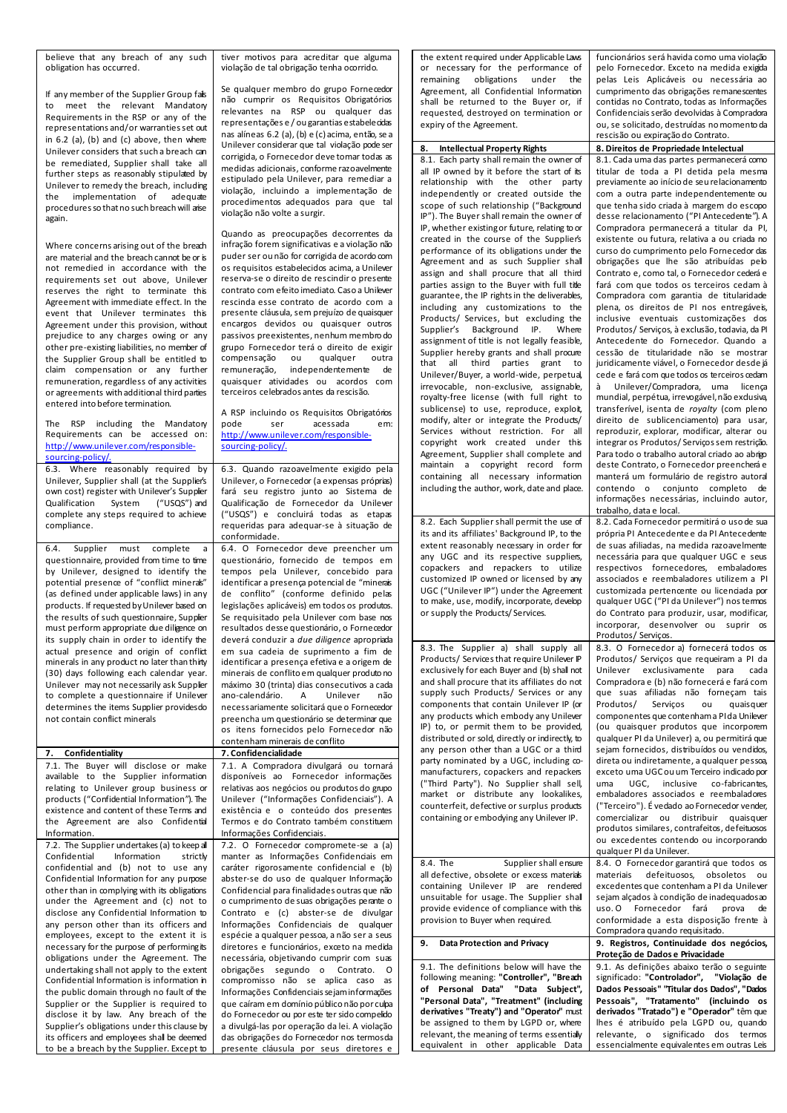believe that any breach of any such obligation has occurred.

If any member of the Supplier Group fails to meet the relevant Mandatory Requirements in the RSP or any of the representations and/or warranties set out in 6.2 (a), (b) and (c) above, then where Unilever considers that such a breach can be remediated, Supplier shall take all further steps as reasonably stipulated by Unilever to remedy the breach, including the implementation of adequate procedures so that no such breach will arise again.

Where concerns arising out of the breach are material and the breach cannot be or is not remedied in accordance with the requirements set out above, Unilever reserves the right to terminate this Agreement with immediate effect. In the event that Unilever terminates this Agreement under this provision, without prejudice to any charges owing or any other pre-existing liabilities, no member of the Supplier Group shall be entitled to claim compensation or any further remuneration, regardless of any activities or agreements with additional third parties entered into before termination.

The RSP including the Mandatory Requirements can be accessed on: [http://www.unilever.com/responsible](http://www.unilever.com/responsible-sourcing-policy/)[sourcing-policy/.](http://www.unilever.com/responsible-sourcing-policy/)

6.3. Where reasonably required by Unilever, Supplier shall (at the Supplier's own cost) register with Unilever's Supplier Qualification System ("USQS") and complete any steps required to achieve compliance.

6.4. Supplier must complete a questionnaire, provided from time to time by Unilever, designed to identify the potential presence of "conflict minerals" (as defined under applicable laws) in any products. If requested by Unilever based on the results of such questionnaire, Supplier must perform appropriate due diligence on its supply chain in order to identify the actual presence and origin of conflict minerals in any product no later than thirty (30) days following each calendar year. Unilever may not necessarily ask Supplier to complete a questionnaire if Unilever determines the items Supplier providesdo not contain conflict minerals

**7. Confidentiality 7. Confidencialidade** 7.1. The Buyer will disclose or make available to the Supplier information relating to Unilever group business or products ("Confidential Information"). The existence and content of these Terms and the Agreement are also Confidential Information.

7.2. The Supplier undertakes (a) to keep all Confidential Information strictly confidential and (b) not to use any Confidential Information for any purpose other than in complying with its obligations under the Agreement and (c) not to disclose any Confidential Information to any person other than its officers and employees, except to the extent it is necessary for the purpose of performing its obligations under the Agreement. The undertaking shall not apply to the extent Confidential Information is information in the public domain through no fault of the Supplier or the Supplier is required to disclose it by law. Any breach of the Supplier's obligations under this clause by its officers and employees shall be deemed to be a breach by the Supplier. Except to tiver motivos para acreditar que alguma violação de tal obrigação tenha ocorrido.

Se qualquer membro do grupo Fornecedor não cumprir os Requisitos Obrigatórios relevantes na RSP ou qualquer das representações e / ou garantias estabelecidas nas alíneas 6.2 (a), (b) e (c) acima, então, se a Unilever considerar que tal violação pode ser corrigida, o Fornecedor deve tomar todas as medidas adicionais, conforme razoavelmente estipulado pela Unilever, para remediar a violação, incluindo a implementação de procedimentos adequados para que tal violação não volte a surgir.

Quando as preocupações decorrentes da infração forem significativas e a violação não puder ser ou não for corrigida de acordo com os requisitos estabelecidos acima, a Unilever reserva-se o direito de rescindir o presente contrato com efeito imediato. Caso a Unilever rescinda esse contrato de acordo com a presente cláusula, sem prejuízo de quaisquer encargos devidos ou quaisquer outros passivos preexistentes, nenhum membro do grupo Fornecedor terá o direito de exigir compensação ou<br>remuneração, inder independentemente de quaisquer atividades ou acordos com terceiros celebrados antes da rescisão.

A RSP incluindo os Requisitos Obrigatórios<br>pode ser acessada em: pode ser acessada em: [http://www.unilever.com/responsible](http://www.unilever.com/responsible-sourcing-policy/)[sourcing-policy/.](http://www.unilever.com/responsible-sourcing-policy/)

6.3. Quando razoavelmente exigido pela Unilever, o Fornecedor (a expensas próprias) fará seu registro junto ao Sistema de Qualificação de Fornecedor da Unilever ("USQS") e concluirá todas as etapas requeridas para adequar-se à situação de conformidade. 6.4. O Fornecedor deve preencher um questionário, fornecido de tempos em tempos pela Unilever, concebido para identificar a presença potencial de "minerais de conflito" (conforme definido pelas legislações aplicáveis) em todos os produtos. Se requisitado pela Unilever com base nos resultados desse questionário, o Fornecedor deverá conduzir a *due diligence* apropriada em sua cadeia de suprimento a fim de identificar a presença efetiva e a origem de minerais de conflito em qualquer produto no máximo 30 (trinta) dias consecutivos a cada<br>ano-calendário e linilever não ano-calendário. A Unilever não necessariamente solicitará que o Fornecedor preencha um questionário se determinar que os itens fornecidos pelo Fornecedor não contenham minerais de conflito 7.1. A Compradora divulgará ou tornará disponíveis ao Fornecedor informações relativas aos negócios ou produtos do grupo Unilever ("Informações Confidenciais"). A existência e o conteúdo dos presentes Termos e do Contrato também constituem Informações Confidenciais. 7.2. O Fornecedor compromete-se a (a) manter as Informações Confidenciais em caráter rigorosamente confidencial e (b) abster-se do uso de qualquer Informação Confidencial para finalidades outras que não o cumprimento de suas obrigações perante o Contrato e (c) abster-se de divulgar Informações Confidenciais de qualquer espécie a qualquer pessoa, a não ser a seus diretores e funcionários, exceto na medida necessária, objetivando cumprir com suas obrigações segundo o Contrato. O compromisso não se aplica caso as

Informações Confidenciais sejam informações que caíram em domínio público não por culpa do Fornecedor ou por este ter sido compelido a divulgá-las por operação da lei. A violação das obrigações do Fornecedor nos termos da presente cláusula por seus diretores e the extent required under Applicable Laws or necessary for the performance of remaining obligations under the Agreement, all Confidential Information shall be returned to the Buyer or, if requested, destroyed on termination or expiry of the Agreement. funcionários será havida como uma violação pelo Fornecedor. Exceto na medida exigida pelas Leis Aplicáveis ou necessária ao cumprimento das obrigações remanescentes contidas no Contrato, todas as Informações Confidenciais serão devolvidas à Compradora ou, se solicitado, destruídas no momento da rescisão ou expiração do Contrato. 8. Intellectual Property Rights 8. Direitos de Propriedade Intelectual 8.1. Each party shall remain the owner of all IP owned by it before the start of its relationship with the other party independently or created outside the scope of such relationship ("Background IP"). The Buyer shall remain the owner of IP, whether existing or future, relating to or created in the course of the Supplier's performance of its obligations under the Agreement and as such Supplier shall assign and shall procure that all third parties assign to the Buyer with full title guarantee, the IP rights in the deliverables, including any customizations to the Products/ Services, but excluding the<br>Supplier's Background IP. Where Supplier's Background IP. assignment of title is not legally feasible, Supplier hereby grants and shall procure that all third parties grant to Unilever/Buyer, a world-wide, perpetual, irrevocable, non-exclusive, assignable, royalty-free license (with full right to sublicense) to use, reproduce, exploit, modify, alter or integrate the Products/ Services without restriction. For all copyright work created under this Agreement, Supplier shall complete and maintain a copyright record form containing all necessary information including the author, work, date and place. 8.1. Cada uma das partes permanecerá como titular de toda a PI detida pela mesma previamente ao início de seu relacionamento com a outra parte independentemente ou que tenha sido criada à margem do escopo desse relacionamento ("PI Antecedente"). A Compradora permanecerá a titular da PI, existente ou futura, relativa a ou criada no curso do cumprimento pelo Fornecedor das obrigações que lhe são atribuídas pelo Contrato e, como tal, o Fornecedor cederá e fará com que todos os terceiros cedam à Compradora com garantia de titularidade plena, os direitos de PI nos entregáveis, inclusive eventuais customizações dos Produtos/ Serviços, à exclusão, todavia, da PI Antecedente do Fornecedor. Quando a cessão de titularidade não se mostrar juridicamente viável, o Fornecedor desdejá cede e fará com que todos os terceiros cedam à Unilever/Compradora, uma licença mundial, perpétua, irrevogável, não exdusiva, transferível, isenta de *royalty* (com pleno direito de sublicenciamento) para usar, reproduzir, explorar, modificar, alterar ou integrar os Produtos/ Servicos sem restrição. Para todo o trabalho autoral criado ao abrigo deste Contrato, o Fornecedor preencherá e manterá um formulário de registro autoral contendo o conjunto completo de informações necessárias, incluindo autor, trabalho, data e local. 8.2. Each Supplier shall permit the use of its and its affiliates' Background IP, to the extent reasonably necessary in order for any UGC and its respective suppliers, copackers and repackers to utilize customized IP owned or licensed by any UGC ("Unilever IP") under the Agreement to make, use, modify, incorporate, develop or supply the Products/ Services. 8.2. Cada Fornecedor permitirá o uso de sua própria PI Antecedente e da PI Antecedente de suas afiliadas, na medida razoavelmente necessária para que qualquer UGC e seus respectivos fornecedores, embaladores associados e reembaladores utilizem a PI customizada pertencente ou licenciada por qualquer UGC ("PI da Unilever") nos termos do Contrato para produzir, usar, modificar, incorporar, desenvolver ou suprir os Produtos/ Serviços. 8.3. The Supplier a) shall supply all Products/ Services that require Unilever IP exclusively for each Buyer and (b) shall not and shall procure that its affiliates do not supply such Products/ Services or any components that contain Unilever IP (or any products which embody any Unilever IP) to, or permit them to be provided, distributed or sold, directly or indirectly, to any person other than a UGC or a third party nominated by a UGC, including  $\infty$ manufacturers, copackers and repackers ("Third Party"). No Supplier shall sell, market or distribute any lookalikes, counterfeit, defective or surplus products containing or embodying any Unilever IP. 8.3. O Fornecedor a) fornecerá todos os Produtos/ Serviços que requeiram a PI da Unilever exclusivamente para cada Compradora e (b) não fornecerá e fará com que suas afiliadas não forneçam tais Produtos/ Serviços ou quaisquer componentes que contenham a PI da Unilever (ou quaisquer produtos que incorporem qualquer PI da Unilever) a, ou permitirá que sejam fornecidos, distribuídos ou vendidos, direta ou indiretamente, a qualquer pessoa, exceto uma UGC ou um Terceiro indicado por uma UGC, inclusive co-fabricantes, embaladores associados e reembaladores ("Terceiro"). É vedado ao Fornecedor vender, comercializar ou distribuir quaisquer produtos similares, contrafeitos, defeituosos ou excedentes contendo ou incorporando qualquer PI da Unilever. 8.4. The Supplier shall ensure all defective, obsolete or excess materials containing Unilever IP are rendered unsuitable for usage. The Supplier shall provide evidence of compliance with this provision to Buyer when required. 8.4. O Fornecedor garantirá que todos os materiais defeituosos, obsoletos ou excedentes que contenham a PI da Unilever sejam alçados à condição de inadequados ao uso. O Fornecedor fará prova de conformidade a esta disposição frente à Compradora quando requisitado. **9. Data Protection and Privacy 9. Registros, Continuidade dos negócios, Proteção de Dados e Privacidade** 9.1. The definitions below will have the following meaning: **"Controller", "Breach of Personal Data" "Data Subject", "Personal Data", "Treatment" (including derivatives "Treaty") and "Operator"** must be assigned to them by LGPD or, where relevant, the meaning of terms essentially equivalent in other applicable Data 9.1. As definições abaixo terão o seguinte significado: **"Controlador", "Violação de Dados Pessoais" "Titular dos Dados", "Dados Pessoais", "Tratamento" (incluindo os derivados "Tratado") e "Operador"** têm que lhes é atribuído pela LGPD ou, quando relevante, o significado dos termos essencialmente equivalentes em outras Leis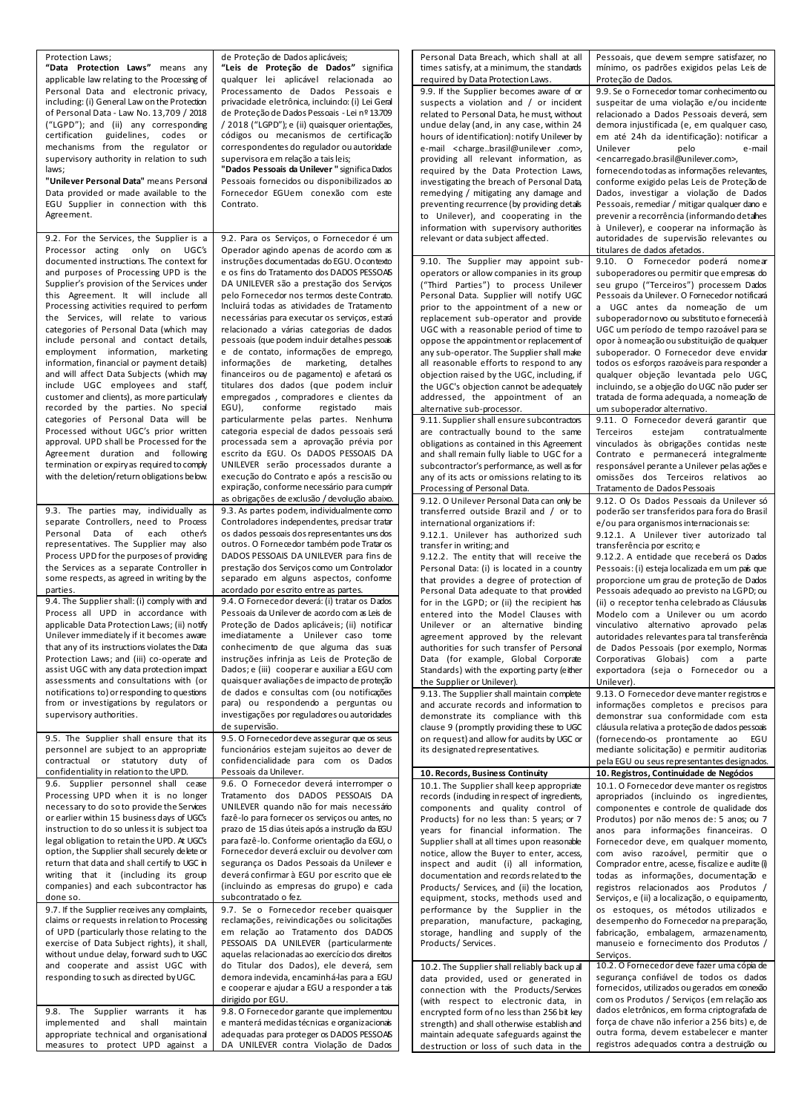| <b>Protection Laws:</b>                                                                       | de Proteção de Dados aplicáveis;                                                               | Personal Data Breach, which shall at all                                                 | Pessoais, que devem sempre satisfazer, no                                                     |
|-----------------------------------------------------------------------------------------------|------------------------------------------------------------------------------------------------|------------------------------------------------------------------------------------------|-----------------------------------------------------------------------------------------------|
| "Data Protection Laws" means any                                                              | "Leis de Proteção de Dados" significa                                                          | times satisfy, at a minimum, the standards                                               | mínimo, os padrões exigidos pelas Leis de                                                     |
| applicable law relating to the Processing of                                                  | qualquer lei aplicável relacionada ao<br>Processamento de Dados Pessoais e                     | required by Data Protection Laws.<br>9.9. If the Supplier becomes aware of or            | Proteção de Dados.<br>9.9. Se o Fornecedor tomar conhecimento ou                              |
| Personal Data and electronic privacy,<br>including: (i) General Law on the Protection         | privacidade eletrônica, incluindo: (i) Lei Geral                                               | suspects a violation and $/$ or incident                                                 | suspeitar de uma violação e/ou incidente                                                      |
| of Personal Data - Law No. 13,709 / 2018                                                      | de Proteção de Dados Pessoais - Lei nº 13.709                                                  | related to Personal Data, he must, without                                               | relacionado a Dados Pessoais deverá, sem                                                      |
| ("LGPD"); and (ii) any corresponding                                                          | / 2018 ("LGPD"); e (ii) quaisquer orientações,                                                 | undue delay (and, in any case, within 24                                                 | demora injustificada (e, em qualquer caso,                                                    |
| certification guidelines, codes or                                                            | códigos ou mecanismos de certificação                                                          | hours of identification): notify Unilever by                                             | em até 24h da identificação): notificar a                                                     |
| mechanisms from the regulator or                                                              | correspondentes do regulador ou autoridade                                                     | e-mail <chargebrasil@unilever .com="">,</chargebrasil@unilever>                          | Unilever<br>pelo<br>e-mail                                                                    |
| supervisory authority in relation to such<br>laws;                                            | supervisora em relação a tais leis;                                                            | providing all relevant information, as                                                   | <encarregado.brasil@unilever.com>,</encarregado.brasil@unilever.com>                          |
| "Unilever Personal Data" means Personal                                                       | "Dados Pessoais da Unilever" significa Dados<br>Pessoais fornecidos ou disponibilizados ao     | required by the Data Protection Laws,<br>investigating the breach of Personal Data,      | fornecendo todas as informações relevantes,<br>conforme exigido pelas Leis de Proteção de     |
| Data provided or made available to the                                                        | Fornecedor EGUem conexão com este                                                              | remedying / mitigating any damage and                                                    | Dados, investigar a violação de Dados                                                         |
| EGU Supplier in connection with this                                                          | Contrato.                                                                                      | preventing recurrence (by providing details                                              | Pessoais, remediar / mitigar qualquer dano e                                                  |
| Agreement.                                                                                    |                                                                                                | to Unilever), and cooperating in the                                                     | prevenir a recorrência (informando detahes                                                    |
|                                                                                               |                                                                                                | information with supervisory authorities                                                 | à Unilever), e cooperar na informação às                                                      |
| 9.2. For the Services, the Supplier is a                                                      | 9.2. Para os Serviços, o Fornecedor é um                                                       | relevant or data subject affected.                                                       | autoridades de supervisão relevantes ou                                                       |
| Processor acting only on UGC's                                                                | Operador agindo apenas de acordo com as                                                        |                                                                                          | titulares de dados afetados.                                                                  |
| documented instructions. The context for<br>and purposes of Processing UPD is the             | instruções documentadas do EGU. O contexto<br>e os fins do Tratamento dos DADOS PESSOAS        | 9.10. The Supplier may appoint sub-                                                      | 9.10. O Fornecedor poderá nomear                                                              |
| Supplier's provision of the Services under                                                    | DA UNILEVER são a prestação dos Serviços                                                       | operators or allow companies in its group<br>("Third Parties") to process Unilever       | suboperadores ou permitir que empresas do<br>seu grupo ("Terceiros") processem Dados          |
| this Agreement. It will include all                                                           | pelo Fornecedor nos termos deste Contrato.                                                     | Personal Data. Supplier will notify UGC                                                  | Pessoais da Unilever. O Fornecedor notificará                                                 |
| Processing activities required to perform                                                     | Incluirá todas as atividades de Tratamento                                                     | prior to the appointment of a new or                                                     | a UGC antes da nomeação de um                                                                 |
| the Services, will relate to various                                                          | necessárias para executar os serviços, estará                                                  | replacement sub-operator and provide                                                     | suboperadornovo ou substituto e fornecerá à                                                   |
| categories of Personal Data (which may                                                        | relacionado a várias categorias de dados                                                       | UGC with a reasonable period of time to                                                  | UGC um período de tempo razoável para se                                                      |
| include personal and contact details,                                                         | pessoais (que podem induir detalhes pessoais                                                   | oppose the appointment or replacement of                                                 | opor à nome ação ou substituição de qualquer                                                  |
| employment information, marketing<br>information, financial or payment details)               | e de contato, informações de emprego,<br>informações de marketing,<br>detalhes                 | any sub-operator. The Supplier shall make<br>all reasonable efforts to respond to any    | suboperador. O Fornecedor deve envidar<br>todos os esforços razoáveis para responder a        |
| and will affect Data Subjects (which may                                                      | financeiros ou de pagamento) e afetará os                                                      | objection raised by the UGC, including, if                                               | qualquer objeção levantada pelo UGC,                                                          |
| include UGC employees and staff,                                                              | titulares dos dados (que podem incluir                                                         | the UGC's objection cannot be adequately                                                 | incluindo, se a objeção do UGC não puder ser                                                  |
| customer and clients), as more particularly                                                   | empregados, compradores e clientes da                                                          | addressed, the appointment of an                                                         | tratada de forma adequada, a nomeação de                                                      |
| recorded by the parties. No special                                                           | EGU),<br>conforme<br>registado<br>mais                                                         | alternative sub-processor.                                                               | um suboperador alternativo.                                                                   |
| categories of Personal Data will be                                                           | particularmente pelas partes. Nenhuma                                                          | 9.11. Supplier shall ensure subcontractors                                               | 9.11. O Fornecedor deverá garantir que                                                        |
| Processed without UGC's prior written<br>approval. UPD shall be Processed for the             | categoria especial de dados pessoais será<br>processada sem a aprovação prévia por             | are contractually bound to the same                                                      | Terceiros<br>contratualmente<br>estejam                                                       |
| Agreement duration and following                                                              | escrito da EGU. Os DADOS PESSOAIS DA                                                           | obligations as contained in this Agreement<br>and shall remain fully liable to UGC for a | vinculados às obrigações contidas neste<br>Contrato e permanecerá integralmente               |
| termination or expiry as required to comply                                                   | UNILEVER serão processados durante a                                                           | subcontractor's performance, as well as for                                              | responsável perante a Unilever pelas ações e                                                  |
| with the deletion/return obligations below.                                                   | execução do Contrato e após a rescisão ou                                                      | any of its acts or omissions relating to its                                             | omissões dos Terceiros relativos ao                                                           |
|                                                                                               | expiração, conforme necessário para cumprir                                                    | Processing of Personal Data.                                                             | Tratamento de Dados Pessoais                                                                  |
|                                                                                               | as obrigações de exclusão / devolução abaixo.                                                  | 9.12. O Unilever Personal Data can only be                                               | 9.12. O Os Dados Pessoais da Unilever só                                                      |
| 9.3. The parties may, individually as                                                         | 9.3. As partes podem, individualmente como                                                     | transferred outside Brazil and / or to                                                   | poderão ser transferidos para fora do Brasil                                                  |
| separate Controllers, need to Process<br>Personal Data of<br>each<br>other's                  | Controladores independentes, precisar tratar<br>os dados pessoais dos representantes uns dos   | international organizations if:                                                          | e/ou para organismos internacionais se:<br>9.12.1. A Unilever tiver autorizado tal            |
| representatives. The Supplier may also                                                        | outros. O Fornecedor também pode Tratar os                                                     | 9.12.1. Unilever has authorized such<br>transfer in writing; and                         | transferência por escrito; e                                                                  |
| Process UPD for the purposes of providing                                                     | DADOS PESSOAIS DA UNILEVER para fins de                                                        | 9.12.2. The entity that will receive the                                                 | 9.12.2. A entidade que receberá os Dados                                                      |
| the Services as a separate Controller in                                                      | prestação dos Serviços como um Controlador                                                     | Personal Data: (i) is located in a country                                               | Pessoais: (i) esteja localizada em um país que                                                |
| some respects, as agreed in writing by the                                                    | separado em alguns aspectos, conforme                                                          | that provides a degree of protection of                                                  | proporcione um grau de proteção de Dados                                                      |
| parties.                                                                                      | acordado por escrito entre as partes.                                                          | Personal Data adequate to that provided                                                  | Pessoais adequado ao previsto na LGPD; ou                                                     |
| 9.4. The Supplier shall: (i) comply with and<br>Process all UPD in accordance with            | 9.4. O Fornecedor deverá: (i) tratar os Dados<br>Pessoais da Unilever de acordo com as Leis de | for in the LGPD; or (ii) the recipient has                                               | (ii) o receptor tenha celebrado as Cláusulas                                                  |
| applicable Data Protection Laws; (ii) notify                                                  | Proteção de Dados aplicáveis; (ii) notificar                                                   | entered into the Model Clauses with<br>Unilever or an alternative binding                | Modelo com a Unilever ou um acordo<br>vinculativo alternativo aprovado pelas                  |
| Unilever immediately if it becomes aware                                                      | imediatamente a Unilever caso tome                                                             | agreement approved by the relevant                                                       | autoridades relevantes para tal transferência                                                 |
| that any of its instructions violates the Data                                                | conhecimento de que alguma das suas                                                            | authorities for such transfer of Personal                                                | de Dados Pessoais (por exemplo, Normas                                                        |
| Protection Laws; and (iii) co-operate and                                                     | instruções infrinja as Leis de Proteção de                                                     | Data (for example, Global Corporate                                                      | Corporativas Globais) com a parte                                                             |
| assist UGC with any data protection impact                                                    | Dados; e (iii) cooperar e auxiliar a EGU com                                                   | Standards) with the exporting party (either                                              | exportadora (seja o Fornecedor ou a                                                           |
| assessments and consultations with (or<br>notifications to) or responding to questions        | quaisquer avaliações de impacto de proteção                                                    | the Supplier or Unilever).                                                               | Unilever).                                                                                    |
| from or investigations by regulators or                                                       | de dados e consultas com (ou notificações<br>para) ou respondendo a perguntas ou               | 9.13. The Supplier shall maintain complete<br>and accurate records and information to    | 9.13. O Fornecedor deve manter registros e<br>informações completos e precisos para           |
| supervisory authorities.                                                                      | investigações por reguladores ou autoridades                                                   | demonstrate its compliance with this                                                     | demonstrar sua conformidade com esta                                                          |
|                                                                                               | de supervisão.                                                                                 | clause 9 (promptly providing these to UGC                                                | cláusula relativa a proteção de dados pessoais                                                |
| 9.5. The Supplier shall ensure that its                                                       | 9.5. O Fornecedor deve assegurar que os seus                                                   | on request) and allow for audits by UGC or                                               | (fornecendo-os prontamente ao EGU                                                             |
| personnel are subject to an appropriate                                                       | funcionários estejam sujeitos ao dever de                                                      | its designated representatives.                                                          | mediante solicitação) e permitir auditorias                                                   |
| contractual or statutory duty of<br>confidentiality in relation to the UPD.                   | confidencialidade para com os Dados<br>Pessoais da Unilever.                                   |                                                                                          | pela EGU ou seus representantes designados.                                                   |
| 9.6. Supplier personnel shall cease                                                           | 9.6. O Fornecedor deverá interromper o                                                         | 10. Records, Business Continuity<br>10.1. The Supplier shall keep appropriate            | 10. Registros, Continuidade de Negócios<br>10.1. O Fornecedor deve manter os registros        |
| Processing UPD when it is no longer                                                           | Tratamento dos DADOS PESSOAIS DA                                                               | records (induding in respect of ingredients,                                             | apropriados (incluindo os ingredientes,                                                       |
| necessary to do so to provide the Services                                                    | UNILEVER quando não for mais necessário                                                        | components and quality control of                                                        | componentes e controle de qualidade dos                                                       |
| or earlier within 15 business days of UGC's                                                   | fazê-lo para fornecer os serviços ou antes, no                                                 | Products) for no less than: 5 years; or 7                                                | Produtos) por não menos de: 5 anos; ou 7                                                      |
| instruction to do so unless it is subject to a                                                | prazo de 15 dias úteis após a instrução da EGU                                                 | years for financial information. The                                                     | anos para informações financeiras. O                                                          |
| legal obligation to retain the UPD. At UGC's                                                  | para fazê-lo. Conforme orientação da EGU, o                                                    | Supplier shall at all times upon reasonable                                              | Fornecedor deve, em qualquer momento,                                                         |
| option, the Supplier shall securely delete or<br>return that data and shall certify to UGC in | Fornecedor deverá excluir ou devolver com<br>segurança os Dados Pessoais da Unilever e         | notice, allow the Buyer to enter, access,<br>inspect and audit (i) all information,      | com aviso razoável, permitir que o<br>Comprador entre, acesse, fiscalize e audite (i)         |
| writing that it (including its group                                                          | deverá confirmar à EGU por escrito que ele                                                     | documentation and records related to the                                                 | todas as informações, documentação e                                                          |
| companies) and each subcontractor has                                                         | (incluindo as empresas do grupo) e cada                                                        | Products/ Services, and (ii) the location,                                               | registros relacionados aos Produtos /                                                         |
| done so.                                                                                      | subcontratado o fez.                                                                           | equipment, stocks, methods used and                                                      | Serviços, e (ii) a localização, o equipamento,                                                |
| 9.7. If the Supplier receives any complaints,                                                 | 9.7. Se o Fornecedor receber quaisquer                                                         | performance by the Supplier in the                                                       | os estoques, os métodos utilizados e                                                          |
| claims or requests in relation to Processing                                                  | reclamações, reivindicações ou solicitações                                                    | preparation, manufacture, packaging,                                                     | desempenho do Fornecedor na preparação,                                                       |
| of UPD (particularly those relating to the                                                    | em relação ao Tratamento dos DADOS                                                             | storage, handling and supply of the                                                      | fabricação, embalagem, armazenamento,                                                         |
| exercise of Data Subject rights), it shall,<br>without undue delay, forward such to UGC       | PESSOAIS DA UNILEVER (particularmente<br>aquelas relacionadas ao exercício dos direitos        | Products/Services.                                                                       | manuseio e fornecimento dos Produtos /<br>Serviços.                                           |
| and cooperate and assist UGC with                                                             | do Titular dos Dados), ele deverá, sem                                                         | 10.2. The Supplier shall reliably back up all                                            | 10.2. O Fornecedor deve fazer uma cópia de                                                    |
| responding to such as directed by UGC.                                                        | demora indevida, encaminhá-las para a EGU                                                      | data provided, used or generated in                                                      | segurança confiável de todos os dados                                                         |
|                                                                                               | e cooperar e ajudar a EGU a responder a tais                                                   | connection with the Products/Services                                                    | fornecidos, utilizados ou gerados em conexão                                                  |
|                                                                                               | dirigido por EGU.                                                                              | (with respect to electronic data, in                                                     | com os Produtos / Serviços (em relação aos                                                    |
| 9.8. The Supplier warrants<br>it has                                                          | 9.8. O Fornecedor garante que implementou                                                      | encrypted form of no less than 256 bit key                                               | dados eletrônicos, em forma criptografada de<br>força de chave não inferior a 256 bits) e, de |
| implemented and<br>shall<br>maintain<br>appropriate technical and organisational              | e manterá medidas técnicas e organizacionais<br>adequadas para proteger os DADOS PESSOAS       | strength) and shall otherwise establish and<br>maintain adequate safeguards against the  | outra forma, devem estabelecer e manter                                                       |
| measures to protect UPD against a                                                             | DA UNILEVER contra Violação de Dados                                                           | destruction or loss of such data in the                                                  | registros adequados contra a destruição ou                                                    |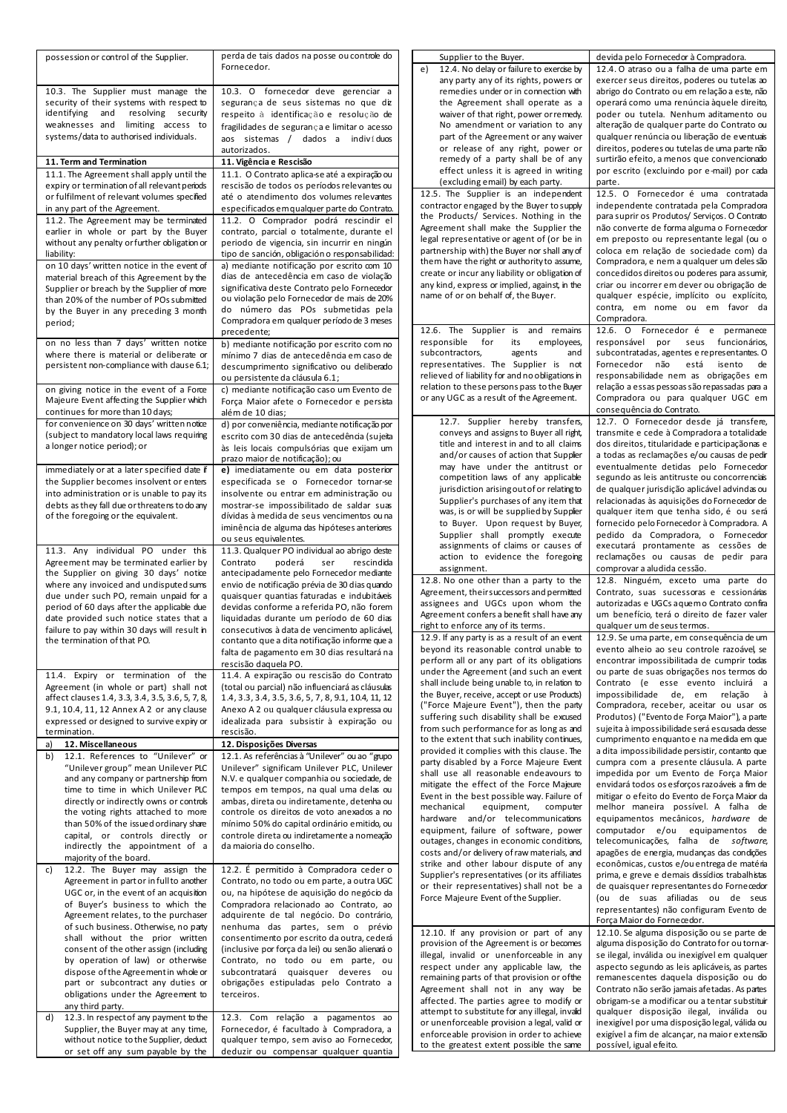| possession or control of the Supplier.                                      | perda de tais dados na posse ou controle do                                       | Supplier to the Buyer.                                                                | devida pelo Fornecedor à Compradora.                                                     |
|-----------------------------------------------------------------------------|-----------------------------------------------------------------------------------|---------------------------------------------------------------------------------------|------------------------------------------------------------------------------------------|
|                                                                             | Fornecedor.                                                                       | 12.4. No delay or failure to exercise by<br>e)                                        | 12.4. O atraso ou a falha de uma parte em                                                |
|                                                                             |                                                                                   | any party any of its rights, powers or                                                | exercer seus direitos, poderes ou tutelas ao                                             |
| 10.3. The Supplier must manage the                                          | 10.3. O fornecedor deve gerenciar a                                               | remedies under or in connection with                                                  | abrigo do Contrato ou em relação a este, não                                             |
| security of their systems with respect to                                   | segurança de seus sistemas no que diz                                             | the Agreement shall operate as a                                                      | operará como uma renúncia àquele direito,                                                |
| identifying and resolving security                                          | respeito à identificação e resolução de                                           | waiver of that right, power or remedy.                                                | poder ou tutela. Nenhum aditamento ou                                                    |
| weaknesses and limiting access to                                           | fragilidades de segurança e limitar o acesso                                      | No amendment or variation to any                                                      | alteração de qualquer parte do Contrato ou                                               |
| systems/data to authorised individuals.                                     | aos sistemas / dados a indivíduos                                                 | part of the Agreement or any waiver                                                   | qualquer renúncia ou liberação de eventuais                                              |
|                                                                             | autorizados.                                                                      | or release of any right, power or                                                     | direitos, poderes ou tutelas de uma parte não                                            |
| 11. Term and Termination                                                    | 11. Vigência e Rescisão                                                           | remedy of a party shall be of any                                                     | surtirão efeito, a menos que convencionado                                               |
|                                                                             |                                                                                   | effect unless it is agreed in writing                                                 | por escrito (excluindo por e-mail) por cada                                              |
| 11.1. The Agreement shall apply until the                                   | 11.1. O Contrato aplica-se até a expiração ou                                     | (excluding email) by each party.                                                      | parte.                                                                                   |
| expiry or termination of all relevant periods                               | rescisão de todos os períodos relevantes ou                                       | 12.5. The Supplier is an independent                                                  | 12.5. O Fornecedor é uma contratada                                                      |
| or fulfilment of relevant volumes specified                                 | até o atendimento dos volumes relevantes                                          |                                                                                       |                                                                                          |
| in any part of the Agreement.                                               | especificados em qualquer parte do Contrato.                                      | contractor engaged by the Buyer to supply<br>the Products/ Services. Nothing in the   | independente contratada pela Compradora<br>para suprir os Produtos/ Servicos. O Contrato |
| 11.2. The Agreement may be terminated                                       | 11.2. O Comprador podrá rescindir el                                              |                                                                                       |                                                                                          |
| earlier in whole or part by the Buyer                                       | contrato, parcial o totalmente, durante el                                        | Agreement shall make the Supplier the                                                 | não converte de forma alguma o Fornecedor                                                |
| without any penalty or further obligation or                                | periodo de vigencia, sin incurrir en ningún                                       | legal representative or agent of (or be in                                            | em preposto ou representante legal (ou o                                                 |
| liability:                                                                  | tipo de sanción, obligación o responsabilidad:                                    | partnership with) the Buyer nor shall any of                                          | coloca em relação de sociedade com) da                                                   |
| on 10 days' written notice in the event of                                  | a) mediante notificação por escrito com 10                                        | them have the right or authority to assume,                                           | Compradora, e nem a qualquer um deles são                                                |
| material breach of this Agreement by the                                    | dias de antecedência em caso de violação                                          | create or incur any liability or obligation of                                        | concedidos direitos ou poderes para assumir,                                             |
| Supplier or breach by the Supplier of more                                  | significativa deste Contrato pelo Fornecedor                                      | any kind, express or implied, against, in the                                         | criar ou incorrer em dever ou obrigação de                                               |
| than 20% of the number of POs submitted                                     | ou violação pelo Fornecedor de mais de 20%                                        | name of or on behalf of, the Buyer.                                                   | qualquer espécie, implícito ou explícito,                                                |
| by the Buyer in any preceding 3 month                                       | do número das POs submetidas pela                                                 |                                                                                       | contra, em nome ou em favor da                                                           |
| period;                                                                     | Compradora em qualquer período de 3 meses                                         |                                                                                       | Compradora.                                                                              |
|                                                                             | precedente;                                                                       | 12.6. The Supplier is and remains                                                     | 12.6. O Fornecedor é e permanece                                                         |
| on no less than 7 days' written notice                                      | b) mediante notificação por escrito com no                                        | responsible<br>for<br>its<br>employees,                                               | responsável por<br>seus funcionários,                                                    |
| where there is material or deliberate or                                    | mínimo 7 dias de antecedência em caso de                                          | subcontractors,<br>agents<br>and                                                      | subcontratadas, agentes e representantes. O                                              |
| persistent non-compliance with dause 6.1;                                   | descumprimento significativo ou deliberado                                        | representatives. The Supplier is not                                                  | Fornecedor não<br>está<br>isento<br>de                                                   |
|                                                                             |                                                                                   | relieved of liability for and no obligations in                                       | responsabilidade nem as obrigações em                                                    |
|                                                                             | ou persistente da cláusula 6.1;                                                   | relation to these persons pass to the Buyer                                           | relação a essas pessoas são repassadas para a                                            |
| on giving notice in the event of a Force                                    | c) mediante notificação caso um Evento de                                         | or any UGC as a result of the Agreement.                                              | Compradora ou para qualquer UGC em                                                       |
| Majeure Event affecting the Supplier which                                  | Força Maior afete o Fornecedor e persista                                         |                                                                                       | conseguência do Contrato.                                                                |
| continues for more than 10 days;                                            | além de 10 dias;                                                                  |                                                                                       |                                                                                          |
| for convenience on 30 days' written notice                                  | d) por conveniência, mediante notificação por                                     | 12.7. Supplier hereby transfers,                                                      | 12.7. O Fornecedor desde já transfere,                                                   |
| (subject to mandatory local laws requiring                                  | escrito com 30 dias de antecedência (sujeita                                      | conveys and assigns to Buyer all right,                                               | transmite e cede à Compradora a totalidade                                               |
| a longer notice period); or                                                 | às leis locais compulsórias que exijam um                                         | title and interest in and to all claims                                               | dos direitos, titularidade e participaçãonas e                                           |
|                                                                             | prazo maior de notificação); ou                                                   | and/or causes of action that Supplier                                                 | a todas as reclamações e/ou causas de pedir                                              |
| immediately or at a later specified date if                                 | e) imediatamente ou em data posterior                                             | may have under the antitrust or                                                       | eventualmente detidas pelo Fornecedor                                                    |
| the Supplier becomes insolvent or enters                                    | especificada se o Fornecedor tornar-se                                            | competition laws of any applicable                                                    | segundo as leis antitruste ou concorrenciais                                             |
| into administration or is unable to pay its                                 | insolvente ou entrar em administração ou                                          | jurisdiction arising out of or relating to                                            | de qualquer jurisdição aplicável advindas ou                                             |
| debts as they fall due or threatens to do any                               | mostrar-se impossibilitado de saldar suas                                         | Supplier's purchases of any item that                                                 | relacionadas às aquisições do Fornecedor de                                              |
|                                                                             | dívidas à medida de seus vencimentos ou na                                        | was, is or will be supplied by Supplier                                               | qualquer item que tenha sido, é ou será                                                  |
| of the foregoing or the equivalent.                                         |                                                                                   | to Buyer. Upon request by Buyer,                                                      | fornecido pelo Fornecedor à Compradora. A                                                |
|                                                                             | iminência de alguma das hipóteses anteriores                                      | Supplier shall promptly execute                                                       | pedido da Compradora, o Fornecedor                                                       |
|                                                                             | ou seus equivalentes.                                                             | assignments of claims or causes of                                                    | executará prontamente as cessões de                                                      |
| 11.3. Any individual PO under this                                          | 11.3. Qualquer PO individual ao abrigo deste                                      | action to evidence the foregoing                                                      | reclamações ou causas de pedir para                                                      |
| Agreement may be terminated earlier by                                      | Contrato<br>poderá<br>rescindida<br>ser                                           | assignment.                                                                           | comprovar a aludida cessão.                                                              |
| the Supplier on giving 30 days' notice                                      | antecipadamente pelo Fornecedor mediante                                          | 12.8. No one other than a party to the                                                | 12.8. Ninguém, exceto uma parte do                                                       |
| where any invoiced and undisputed sums                                      | envio de notificação prévia de 30 dias quando                                     |                                                                                       |                                                                                          |
| due under such PO, remain unpaid for a                                      | quaisquer quantias faturadas e indubitáveis                                       | Agreement, their successors and permitted                                             | Contrato, suas sucessoras e cessionárias                                                 |
| period of 60 days after the applicable due                                  | devidas conforme a referida PO, não forem                                         | assignees and UGCs upon whom the                                                      | autorizadas e UGCs a quemo Contrato confira                                              |
| date provided such notice states that a                                     | liquidadas durante um período de 60 dias                                          | Agreement confers a benefit shall have any                                            | um benefício, terá o direito de fazer valer                                              |
| failure to pay within 30 days will result in                                | consecutivos à data de vencimento aplicável,                                      | right to enforce any of its terms.                                                    | qualquer um de seus termos.                                                              |
| the termination of that PO.                                                 | contanto que a dita notificação informe que a                                     | 12.9. If any party is as a result of an event                                         | 12.9. Se uma parte, em consequência de um                                                |
|                                                                             | falta de pagamento em 30 dias resultará na                                        | beyond its reasonable control unable to                                               | evento alheio ao seu controle razoável, se                                               |
|                                                                             | rescisão daquela PO.                                                              | perform all or any part of its obligations                                            | encontrar impossibilitada de cumprir todas                                               |
| 11.4. Expiry or termination of the                                          | 11.4. A expiração ou rescisão do Contrato                                         | under the Agreement (and such an event                                                | ou parte de suas obrigações nos termos do                                                |
| Agreement (in whole or part) shall not                                      | (total ou parcial) não influenciará as cláusulas                                  | shall include being unable to, in relation to                                         | Contrato (e esse evento incluirá a                                                       |
| affect clauses 1.4, 3.3, 3.4, 3.5, 3.6, 5, 7, 8,                            | 1.4, 3.3, 3.4, 3.5, 3.6, 5, 7, 8, 9.1, 10.4, 11, 12                               | the Buyer, receive, accept or use Products)                                           | impossibilidade de, em relação à                                                         |
| 9.1, 10.4, 11, 12 Annex A 2 or any clause                                   | Anexo A 2 ou qualquer cláusula expressa ou                                        | ("Force Majeure Event"), then the party                                               | Compradora, receber, aceitar ou usar os                                                  |
| expressed or designed to survive expiry or                                  | idealizada para subsistir à expiração ou                                          | suffering such disability shall be excused                                            | Produtos) ("Evento de Força Maior"), a parte                                             |
| termination.                                                                | rescisão.                                                                         | from such performance for as long as and                                              | sujeita à impossibilidade será escusada desse                                            |
| 12. Miscellaneous<br>a)                                                     | 12. Disposições Diversas                                                          | to the extent that such inability continues,                                          | cumprimento enquanto e na medida em que                                                  |
| 12.1. References to "Unilever" or<br>b)                                     | 12.1. As referências à "Unilever" ou ao "gupo                                     | provided it complies with this clause. The                                            | a dita impossibilidade persistir, contanto que                                           |
| "Unilever group" mean Unilever PLC                                          | Unilever" significam Unilever PLC, Unilever                                       | party disabled by a Force Majeure Event                                               | cumpra com a presente cláusula. A parte                                                  |
| and any company or partnership from                                         | N.V. e qualquer companhia ou sociedade, de                                        | shall use all reasonable endeavours to                                                | impedida por um Evento de Força Maior                                                    |
| time to time in which Unilever PLC                                          | tempos em tempos, na qual uma delas ou                                            | mitigate the effect of the Force Majeure                                              | envidará todos os esforços razoáveis a fim de                                            |
|                                                                             | ambas, direta ou indiretamente, detenha ou                                        | Event in the best possible way. Failure of                                            | mitigar o efeito do Evento de Força Maior da                                             |
| directly or indirectly owns or controls                                     |                                                                                   | mechanical<br>equipment,<br>computer                                                  | melhor maneira possível. A falha de                                                      |
| the voting rights attached to more                                          | controle os direitos de voto anexados a no                                        | hardware and/or telecommunications                                                    | equipamentos mecânicos, hardware de                                                      |
| than 50% of the issued ordinary share                                       | mínimo 50% do capital ordinário emitido, ou                                       | equipment, failure of software, power                                                 | computador e/ou equipamentos de                                                          |
| capital, or controls directly or                                            | controle direta ou indiretamente a nomeação                                       | outages, changes in economic conditions,                                              | telecomunicações, falha de software,                                                     |
| indirectly the appointment of a                                             | da maioria do conselho.                                                           | costs and/or delivery of raw materials, and                                           | apagões de energia, mudanças das condições                                               |
| majority of the board.                                                      |                                                                                   | strike and other labour dispute of any                                                | econômicas, custos e/ou entrega de matéria                                               |
| 12.2. The Buyer may assign the<br>c)                                        | 12.2. É permitido à Compradora ceder o                                            | Supplier's representatives (or its affiliates                                         | prima, e greve e demais dissídios trabalhistas                                           |
| Agreement in partor in full to another                                      | Contrato, no todo ou em parte, a outra UGC                                        | or their representatives) shall not be a                                              | de quaisquer representantes do Fornecedor                                                |
| UGC or, in the event of an acquisition                                      | ou, na hipótese de aquisição do negócio da                                        | Force Majeure Event of the Supplier.                                                  | (ou de suas afiliadas ou de seus                                                         |
| of Buyer's business to which the                                            | Compradora relacionado ao Contrato, ao                                            |                                                                                       | representantes) não configuram Evento de                                                 |
| Agreement relates, to the purchaser                                         | adquirente de tal negócio. Do contrário,                                          |                                                                                       |                                                                                          |
| of such business. Otherwise, no party                                       | nenhuma das partes, sem o prévio                                                  |                                                                                       | Força Maior do Fornecedor.                                                               |
| shall without the prior written                                             | consentimento por escrito da outra, cederá                                        | 12.10. If any provision or part of any                                                | 12.10. Se alguma disposição ou se parte de                                               |
| consent of the other assign (including                                      | (inclusive por força da lei) ou senão alienará o                                  | provision of the Agreement is or becomes                                              | alguma disposição do Contrato for ou torna-                                              |
|                                                                             |                                                                                   | illegal, invalid or unenforceable in any                                              | se ilegal, inválida ou inexigível em qualquer                                            |
|                                                                             |                                                                                   | respect under any applicable law, the                                                 | aspecto segundo as leis aplicáveis, as partes                                            |
| by operation of law) or otherwise                                           | Contrato, no todo ou em parte, ou                                                 |                                                                                       |                                                                                          |
| dispose of the Agreement in whole or                                        | subcontratará quaisquer deveres ou                                                | remaining parts of that provision or of the                                           | remanescentes daquela disposição ou do                                                   |
| part or subcontract any duties or                                           | obrigações estipuladas pelo Contrato a                                            | Agreement shall not in any way be                                                     | Contrato não serão jamais afetadas. As partes                                            |
| obligations under the Agreement to                                          | terceiros.                                                                        | affected. The parties agree to modify or                                              | obrigam-se a modificar ou a tentar substituir                                            |
| any third party.                                                            |                                                                                   | attempt to substitute for any illegal, invalid                                        | qualquer disposição ilegal, inválida ou                                                  |
| 12.3. In respect of any payment to the<br>d)                                | 12.3. Com relação a pagamentos ao                                                 | or unenforceable provision a legal, valid or                                          | inexigível por uma disposição legal, válida ou                                           |
| Supplier, the Buyer may at any time,                                        | Fornecedor, é facultado à Compradora, a                                           |                                                                                       |                                                                                          |
| without notice to the Supplier, deduct<br>or set off any sum payable by the | qualquer tempo, sem aviso ao Fornecedor,<br>deduzir ou compensar qualquer quantia | enforceable provision in order to achieve<br>to the greatest extent possible the same | exigível a fim de alcançar, na maior extensão<br>possível, igual efeito.                 |